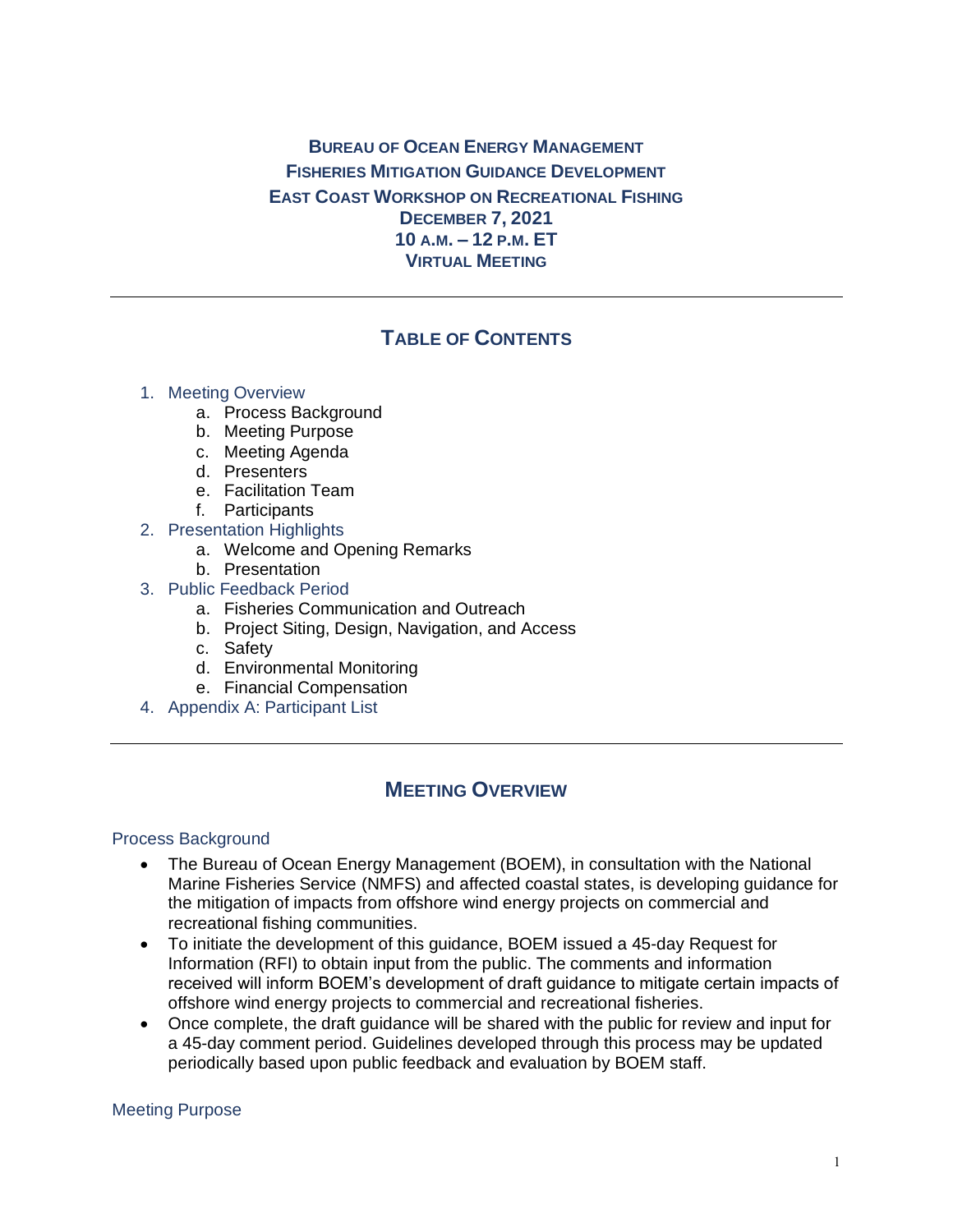## **BUREAU OF OCEAN ENERGY MANAGEMENT FISHERIES MITIGATION GUIDANCE DEVELOPMENT EAST COAST WORKSHOP ON RECREATIONAL FISHING DECEMBER 7, 2021 10 A.M. – 12 P.M. ET VIRTUAL MEETING**

# **TABLE OF CONTENTS**

#### 1. Meeting Overview

- a. Process Background
- b. Meeting Purpose
- c. Meeting Agenda
- d. Presenters
- e. Facilitation Team
- f. Participants
- 2. Presentation Highlights
	- a. Welcome and Opening Remarks
	- b. Presentation
- 3. Public Feedback Period
	- a. Fisheries Communication and Outreach
	- b. Project Siting, Design, Navigation, and Access
	- c. Safety
	- d. Environmental Monitoring
	- e. Financial Compensation
- 4. Appendix A: Participant List

## **MEETING OVERVIEW**

#### Process Background

- The Bureau of Ocean Energy Management (BOEM), in consultation with the National Marine Fisheries Service (NMFS) and affected coastal states, is developing guidance for the mitigation of impacts from offshore wind energy projects on commercial and recreational fishing communities.
- To initiate the development of this guidance, BOEM issued a 45-day Request for Information (RFI) to obtain input from the public. The comments and information received will inform BOEM's development of draft guidance to mitigate certain impacts of offshore wind energy projects to commercial and recreational fisheries.
- Once complete, the draft guidance will be shared with the public for review and input for a 45-day comment period. Guidelines developed through this process may be updated periodically based upon public feedback and evaluation by BOEM staff.

#### Meeting Purpose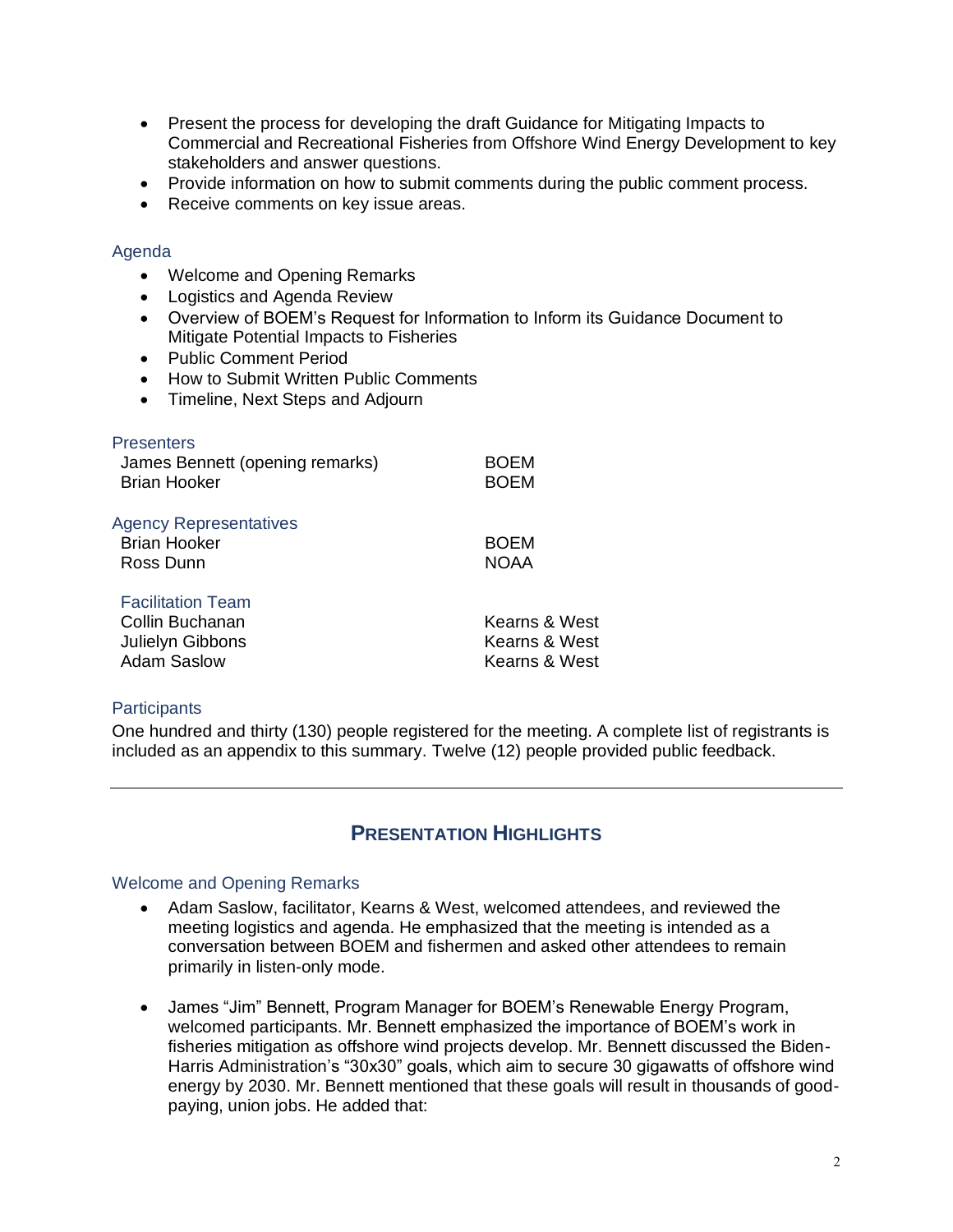- Present the process for developing the draft Guidance for Mitigating Impacts to Commercial and Recreational Fisheries from Offshore Wind Energy Development to key stakeholders and answer questions.
- Provide information on how to submit comments during the public comment process.
- Receive comments on key issue areas.

#### Agenda

- Welcome and Opening Remarks
- Logistics and Agenda Review
- Overview of BOEM's Request for Information to Inform its Guidance Document to Mitigate Potential Impacts to Fisheries
- Public Comment Period
- How to Submit Written Public Comments
- Timeline, Next Steps and Adjourn

| <b>Presenters</b><br>James Bennett (opening remarks)<br><b>Brian Hooker</b>           | <b>BOEM</b><br><b>BOEM</b>                      |
|---------------------------------------------------------------------------------------|-------------------------------------------------|
| <b>Agency Representatives</b><br><b>Brian Hooker</b><br>Ross Dunn                     | <b>BOEM</b><br><b>NOAA</b>                      |
| <b>Facilitation Team</b><br>Collin Buchanan<br>Julielyn Gibbons<br><b>Adam Saslow</b> | Kearns & West<br>Kearns & West<br>Kearns & West |

#### **Participants**

One hundred and thirty (130) people registered for the meeting. A complete list of registrants is included as an appendix to this summary. Twelve (12) people provided public feedback.

# **PRESENTATION HIGHLIGHTS**

#### Welcome and Opening Remarks

- Adam Saslow, facilitator, Kearns & West, welcomed attendees, and reviewed the meeting logistics and agenda. He emphasized that the meeting is intended as a conversation between BOEM and fishermen and asked other attendees to remain primarily in listen-only mode.
- James "Jim" Bennett, Program Manager for BOEM's Renewable Energy Program, welcomed participants. Mr. Bennett emphasized the importance of BOEM's work in fisheries mitigation as offshore wind projects develop. Mr. Bennett discussed the Biden-Harris Administration's "30x30" goals, which aim to secure 30 gigawatts of offshore wind energy by 2030. Mr. Bennett mentioned that these goals will result in thousands of goodpaying, union jobs. He added that: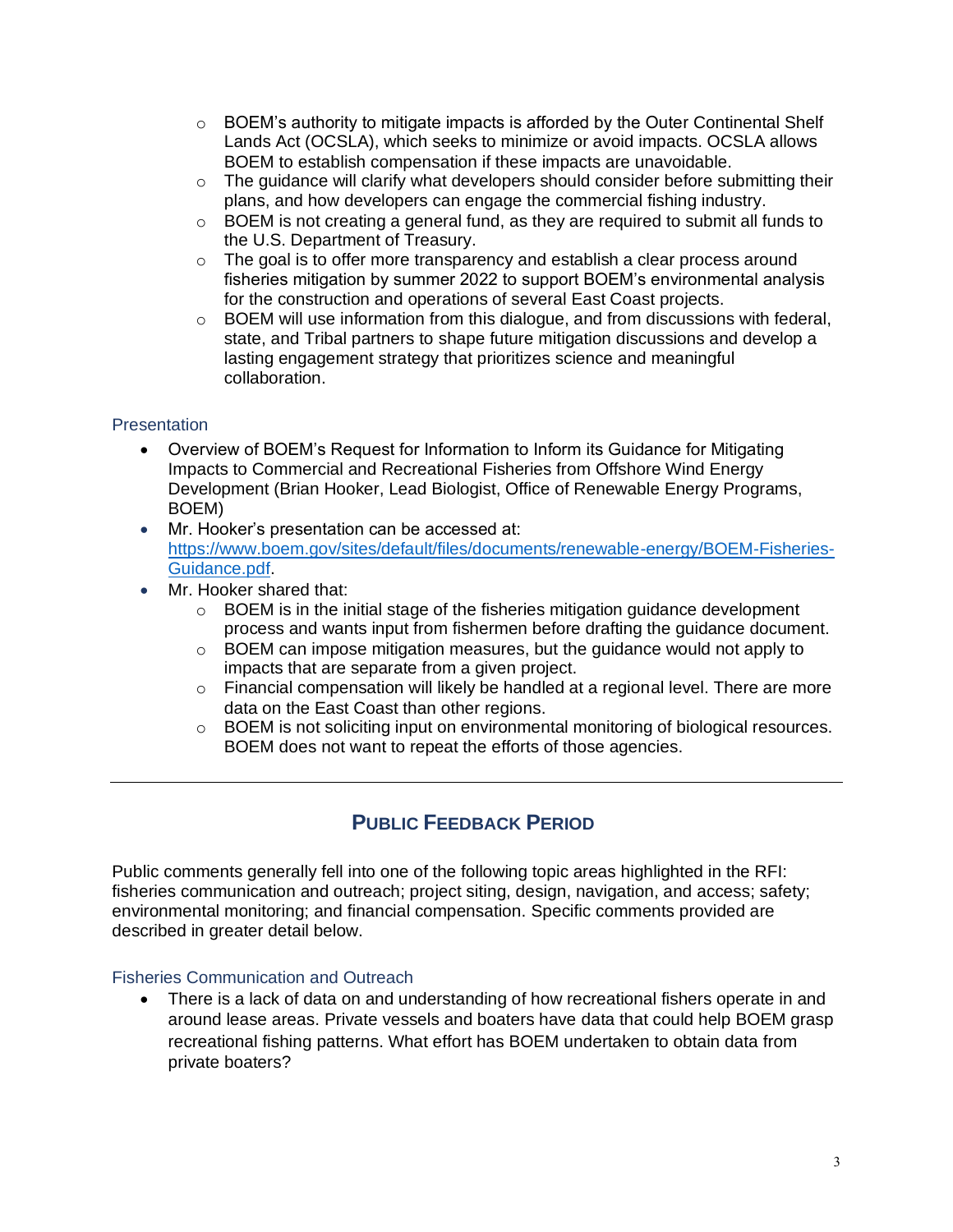- $\circ$  BOEM's authority to mitigate impacts is afforded by the Outer Continental Shelf Lands Act (OCSLA), which seeks to minimize or avoid impacts. OCSLA allows BOEM to establish compensation if these impacts are unavoidable.
- $\circ$  The quidance will clarify what developers should consider before submitting their plans, and how developers can engage the commercial fishing industry.
- $\circ$  BOEM is not creating a general fund, as they are required to submit all funds to the U.S. Department of Treasury.
- $\circ$  The goal is to offer more transparency and establish a clear process around fisheries mitigation by summer 2022 to support BOEM's environmental analysis for the construction and operations of several East Coast projects.
- $\circ$  BOEM will use information from this dialogue, and from discussions with federal, state, and Tribal partners to shape future mitigation discussions and develop a lasting engagement strategy that prioritizes science and meaningful collaboration.

## **Presentation**

- Overview of BOEM's Request for Information to Inform its Guidance for Mitigating Impacts to Commercial and Recreational Fisheries from Offshore Wind Energy Development (Brian Hooker, Lead Biologist, Office of Renewable Energy Programs, BOEM)
- Mr. Hooker's presentation can be accessed at: [https://www.boem.gov/sites/default/files/documents/renewable-energy/BOEM-Fisheries-](https://www.boem.gov/sites/default/files/documents/renewable-energy/BOEM-Fisheries-Guidance.pdf)[Guidance.pdf.](https://www.boem.gov/sites/default/files/documents/renewable-energy/BOEM-Fisheries-Guidance.pdf)
- Mr. Hooker shared that:
	- $\circ$  BOEM is in the initial stage of the fisheries mitigation guidance development process and wants input from fishermen before drafting the guidance document.
	- $\circ$  BOEM can impose mitigation measures, but the guidance would not apply to impacts that are separate from a given project.
	- o Financial compensation will likely be handled at a regional level. There are more data on the East Coast than other regions.
	- o BOEM is not soliciting input on environmental monitoring of biological resources. BOEM does not want to repeat the efforts of those agencies.

# **PUBLIC FEEDBACK PERIOD**

Public comments generally fell into one of the following topic areas highlighted in the RFI: fisheries communication and outreach; project siting, design, navigation, and access; safety; environmental monitoring; and financial compensation. Specific comments provided are described in greater detail below.

## Fisheries Communication and Outreach

• There is a lack of data on and understanding of how recreational fishers operate in and around lease areas. Private vessels and boaters have data that could help BOEM grasp recreational fishing patterns. What effort has BOEM undertaken to obtain data from private boaters?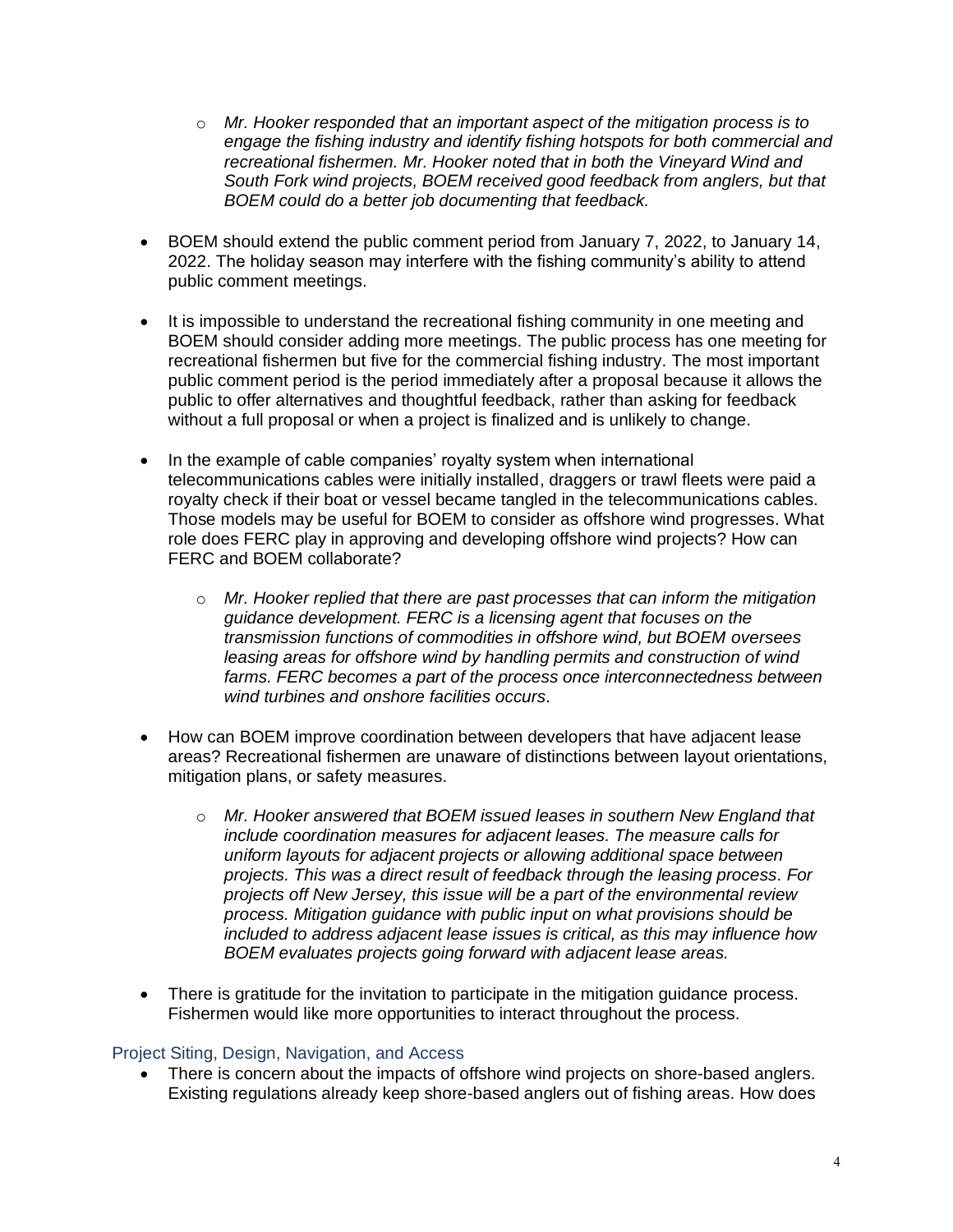- o *Mr. Hooker responded that an important aspect of the mitigation process is to engage the fishing industry and identify fishing hotspots for both commercial and recreational fishermen. Mr. Hooker noted that in both the Vineyard Wind and South Fork wind projects, BOEM received good feedback from anglers, but that BOEM could do a better job documenting that feedback.*
- BOEM should extend the public comment period from January 7, 2022, to January 14, 2022. The holiday season may interfere with the fishing community's ability to attend public comment meetings.
- It is impossible to understand the recreational fishing community in one meeting and BOEM should consider adding more meetings. The public process has one meeting for recreational fishermen but five for the commercial fishing industry. The most important public comment period is the period immediately after a proposal because it allows the public to offer alternatives and thoughtful feedback, rather than asking for feedback without a full proposal or when a project is finalized and is unlikely to change.
- In the example of cable companies' royalty system when international telecommunications cables were initially installed, draggers or trawl fleets were paid a royalty check if their boat or vessel became tangled in the telecommunications cables. Those models may be useful for BOEM to consider as offshore wind progresses. What role does FERC play in approving and developing offshore wind projects? How can FERC and BOEM collaborate?
	- o *Mr. Hooker replied that there are past processes that can inform the mitigation guidance development. FERC is a licensing agent that focuses on the transmission functions of commodities in offshore wind, but BOEM oversees leasing areas for offshore wind by handling permits and construction of wind farms. FERC becomes a part of the process once interconnectedness between wind turbines and onshore facilities occurs.*
- How can BOEM improve coordination between developers that have adjacent lease areas? Recreational fishermen are unaware of distinctions between layout orientations, mitigation plans, or safety measures.
	- o *Mr. Hooker answered that BOEM issued leases in southern New England that include coordination measures for adjacent leases. The measure calls for uniform layouts for adjacent projects or allowing additional space between projects. This was a direct result of feedback through the leasing process. For projects off New Jersey, this issue will be a part of the environmental review process. Mitigation guidance with public input on what provisions should be included to address adjacent lease issues is critical, as this may influence how BOEM evaluates projects going forward with adjacent lease areas.*
- There is gratitude for the invitation to participate in the mitigation guidance process. Fishermen would like more opportunities to interact throughout the process.

## Project Siting, Design, Navigation, and Access

There is concern about the impacts of offshore wind projects on shore-based anglers. Existing regulations already keep shore-based anglers out of fishing areas. How does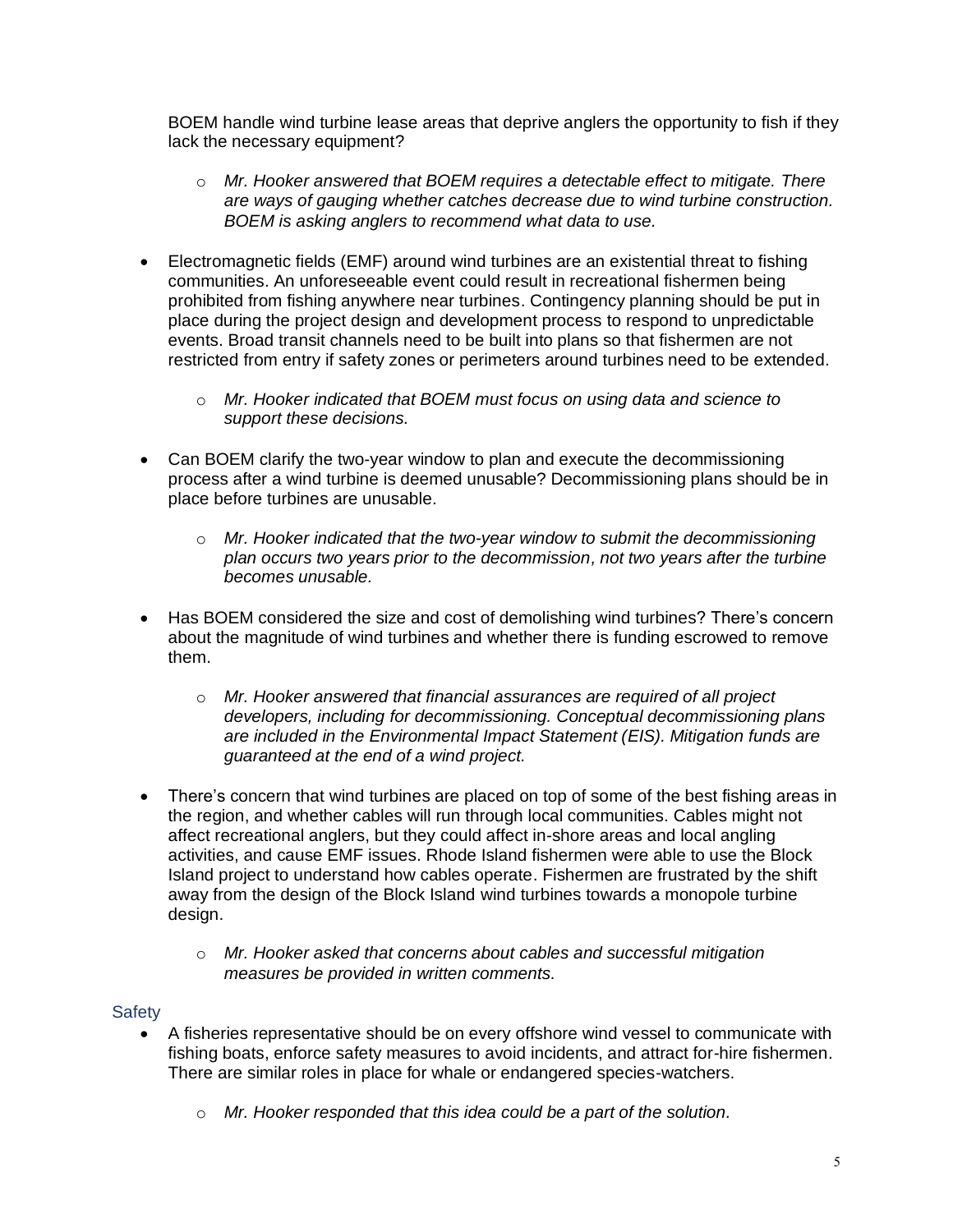BOEM handle wind turbine lease areas that deprive anglers the opportunity to fish if they lack the necessary equipment?

- o *Mr. Hooker answered that BOEM requires a detectable effect to mitigate. There are ways of gauging whether catches decrease due to wind turbine construction. BOEM is asking anglers to recommend what data to use.*
- Electromagnetic fields (EMF) around wind turbines are an existential threat to fishing communities. An unforeseeable event could result in recreational fishermen being prohibited from fishing anywhere near turbines. Contingency planning should be put in place during the project design and development process to respond to unpredictable events. Broad transit channels need to be built into plans so that fishermen are not restricted from entry if safety zones or perimeters around turbines need to be extended.
	- o *Mr. Hooker indicated that BOEM must focus on using data and science to support these decisions.*
- Can BOEM clarify the two-year window to plan and execute the decommissioning process after a wind turbine is deemed unusable? Decommissioning plans should be in place before turbines are unusable.
	- o *Mr. Hooker indicated that the two-year window to submit the decommissioning plan occurs two years prior to the decommission, not two years after the turbine becomes unusable.*
- Has BOEM considered the size and cost of demolishing wind turbines? There's concern about the magnitude of wind turbines and whether there is funding escrowed to remove them.
	- o *Mr. Hooker answered that financial assurances are required of all project developers, including for decommissioning. Conceptual decommissioning plans are included in the Environmental Impact Statement (EIS). Mitigation funds are guaranteed at the end of a wind project.*
- There's concern that wind turbines are placed on top of some of the best fishing areas in the region, and whether cables will run through local communities. Cables might not affect recreational anglers, but they could affect in-shore areas and local angling activities, and cause EMF issues. Rhode Island fishermen were able to use the Block Island project to understand how cables operate. Fishermen are frustrated by the shift away from the design of the Block Island wind turbines towards a monopole turbine design.
	- o *Mr. Hooker asked that concerns about cables and successful mitigation measures be provided in written comments.*

## **Safety**

- A fisheries representative should be on every offshore wind vessel to communicate with fishing boats, enforce safety measures to avoid incidents, and attract for-hire fishermen. There are similar roles in place for whale or endangered species-watchers.
	- o *Mr. Hooker responded that this idea could be a part of the solution.*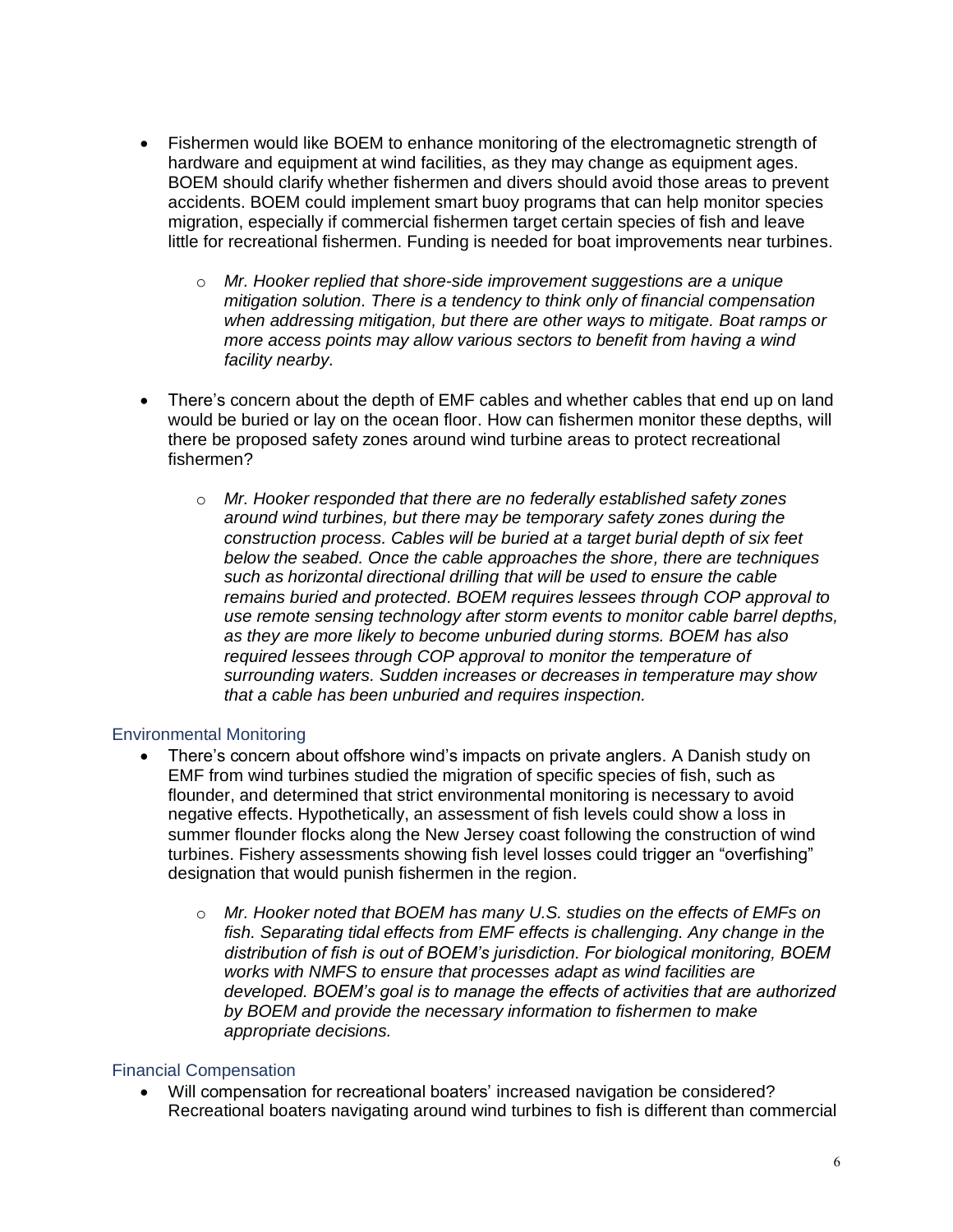- Fishermen would like BOEM to enhance monitoring of the electromagnetic strength of hardware and equipment at wind facilities, as they may change as equipment ages. BOEM should clarify whether fishermen and divers should avoid those areas to prevent accidents. BOEM could implement smart buoy programs that can help monitor species migration, especially if commercial fishermen target certain species of fish and leave little for recreational fishermen. Funding is needed for boat improvements near turbines.
	- o *Mr. Hooker replied that shore-side improvement suggestions are a unique mitigation solution. There is a tendency to think only of financial compensation when addressing mitigation, but there are other ways to mitigate. Boat ramps or more access points may allow various sectors to benefit from having a wind facility nearby.*
- There's concern about the depth of EMF cables and whether cables that end up on land would be buried or lay on the ocean floor. How can fishermen monitor these depths, will there be proposed safety zones around wind turbine areas to protect recreational fishermen?
	- o *Mr. Hooker responded that there are no federally established safety zones around wind turbines, but there may be temporary safety zones during the construction process. Cables will be buried at a target burial depth of six feet below the seabed. Once the cable approaches the shore, there are techniques such as horizontal directional drilling that will be used to ensure the cable remains buried and protected. BOEM requires lessees through COP approval to use remote sensing technology after storm events to monitor cable barrel depths, as they are more likely to become unburied during storms. BOEM has also required lessees through COP approval to monitor the temperature of surrounding waters. Sudden increases or decreases in temperature may show that a cable has been unburied and requires inspection.*

## Environmental Monitoring

- There's concern about offshore wind's impacts on private anglers. A Danish study on EMF from wind turbines studied the migration of specific species of fish, such as flounder, and determined that strict environmental monitoring is necessary to avoid negative effects. Hypothetically, an assessment of fish levels could show a loss in summer flounder flocks along the New Jersey coast following the construction of wind turbines. Fishery assessments showing fish level losses could trigger an "overfishing" designation that would punish fishermen in the region.
	- o *Mr. Hooker noted that BOEM has many U.S. studies on the effects of EMFs on fish. Separating tidal effects from EMF effects is challenging. Any change in the distribution of fish is out of BOEM's jurisdiction. For biological monitoring, BOEM works with NMFS to ensure that processes adapt as wind facilities are developed. BOEM's goal is to manage the effects of activities that are authorized by BOEM and provide the necessary information to fishermen to make appropriate decisions.*

## Financial Compensation

• Will compensation for recreational boaters' increased navigation be considered? Recreational boaters navigating around wind turbines to fish is different than commercial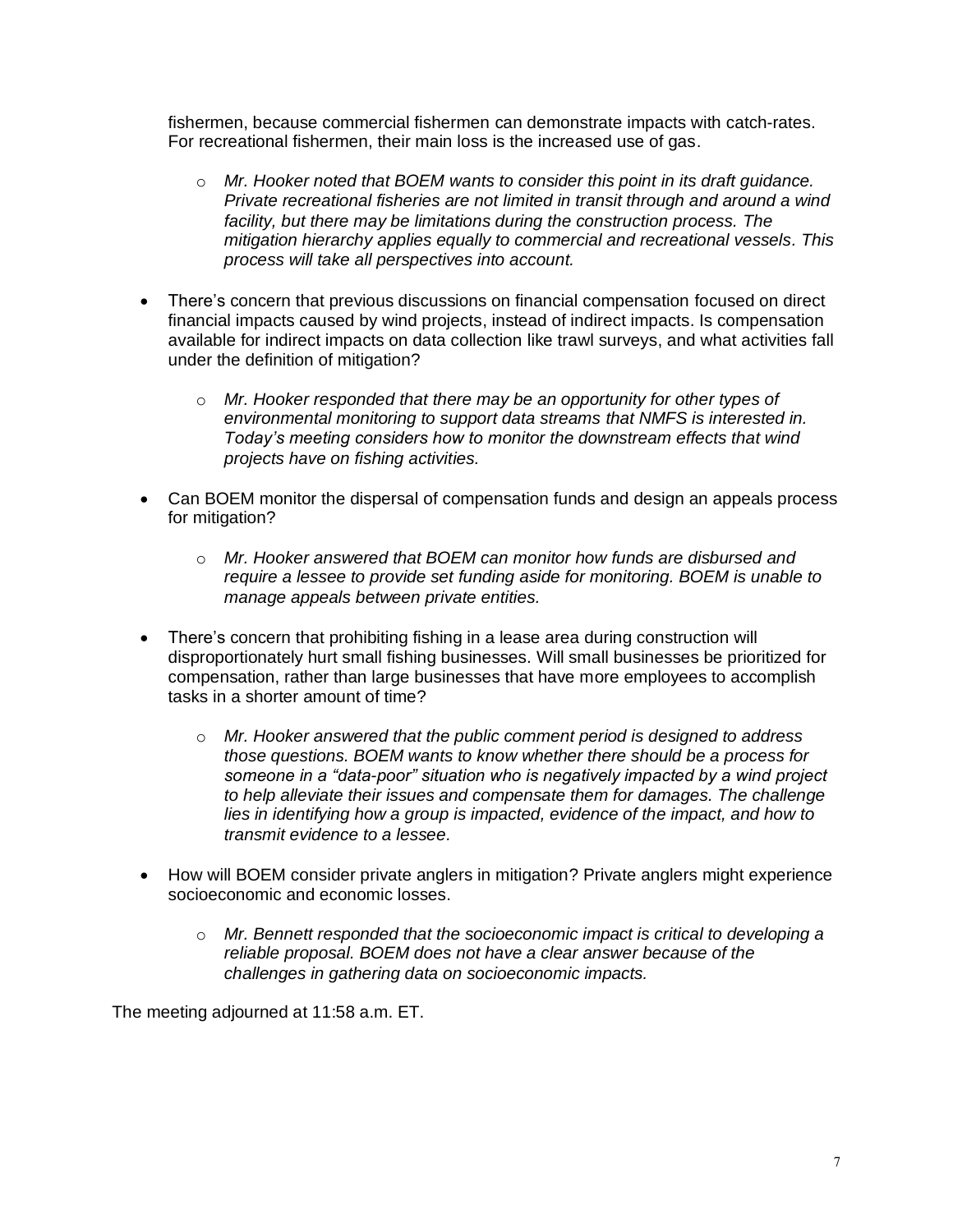fishermen, because commercial fishermen can demonstrate impacts with catch-rates. For recreational fishermen, their main loss is the increased use of gas.

- o *Mr. Hooker noted that BOEM wants to consider this point in its draft guidance. Private recreational fisheries are not limited in transit through and around a wind facility, but there may be limitations during the construction process. The mitigation hierarchy applies equally to commercial and recreational vessels. This process will take all perspectives into account.*
- There's concern that previous discussions on financial compensation focused on direct financial impacts caused by wind projects, instead of indirect impacts. Is compensation available for indirect impacts on data collection like trawl surveys, and what activities fall under the definition of mitigation?
	- o *Mr. Hooker responded that there may be an opportunity for other types of environmental monitoring to support data streams that NMFS is interested in. Today's meeting considers how to monitor the downstream effects that wind projects have on fishing activities.*
- Can BOEM monitor the dispersal of compensation funds and design an appeals process for mitigation?
	- o *Mr. Hooker answered that BOEM can monitor how funds are disbursed and require a lessee to provide set funding aside for monitoring. BOEM is unable to manage appeals between private entities.*
- There's concern that prohibiting fishing in a lease area during construction will disproportionately hurt small fishing businesses. Will small businesses be prioritized for compensation, rather than large businesses that have more employees to accomplish tasks in a shorter amount of time?
	- o *Mr. Hooker answered that the public comment period is designed to address those questions. BOEM wants to know whether there should be a process for someone in a "data-poor" situation who is negatively impacted by a wind project to help alleviate their issues and compensate them for damages. The challenge*  lies in identifying how a group is *impacted, evidence of the impact, and how to transmit evidence to a lessee.*
- How will BOEM consider private anglers in mitigation? Private anglers might experience socioeconomic and economic losses.
	- o *Mr. Bennett responded that the socioeconomic impact is critical to developing a reliable proposal. BOEM does not have a clear answer because of the challenges in gathering data on socioeconomic impacts.*

The meeting adjourned at 11:58 a.m. ET.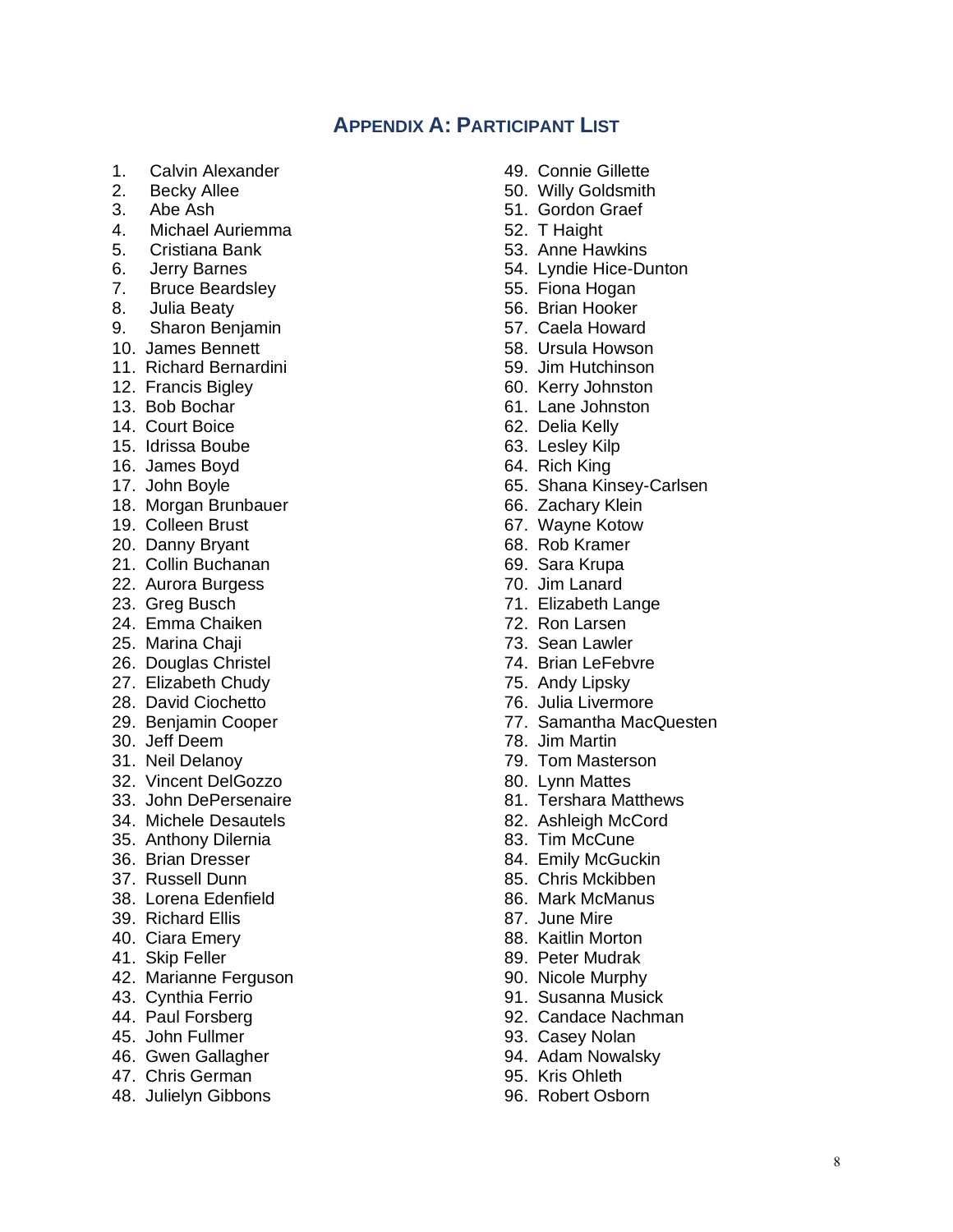# **APPENDIX A: PARTICIPANT LIST**

- 1. Calvin Alexander
- 2. Becky Allee
- 3. Abe Ash
- 4. Michael Auriemma
- 5. Cristiana Bank
- 6. Jerry Barnes
- 7. Bruce Beardsley
- 8. Julia Beaty
- 9. Sharon Benjamin
- 10. James Bennett
- 11. Richard Bernardini
- 12. Francis Bigley
- 13. Bob Bochar
- 14. Court Boice
- 15. Idrissa Boube
- 16. James Boyd
- 17. John Boyle
- 18. Morgan Brunbauer
- 19. Colleen Brust
- 20. Danny Bryant
- 21. Collin Buchanan
- 22. Aurora Burgess
- 23. Greg Busch
- 24. Emma Chaiken
- 25. Marina Chaji
- 26. Douglas Christel
- 27. Elizabeth Chudy
- 28. David Ciochetto
- 29. Benjamin Cooper
- 30. Jeff Deem
- 31. Neil Delanoy
- 32. Vincent DelGozzo
- 33. John DePersenaire
- 34. Michele Desautels
- 35. Anthony Dilernia
- 36. Brian Dresser
- 37. Russell Dunn
- 38. Lorena Edenfield
- 39. Richard Ellis
- 40. Ciara Emery
- 41. Skip Feller
- 42. Marianne Ferguson
- 43. Cynthia Ferrio
- 44. Paul Forsberg
- 45. John Fullmer
- 46. Gwen Gallagher
- 47. Chris German
- 48. Julielyn Gibbons
- 49. Connie Gillette
- 50. Willy Goldsmith
- 51. Gordon Graef
- 52. T Haight
- 53. Anne Hawkins
- 54. Lyndie Hice-Dunton
- 55. Fiona Hogan
- 56. Brian Hooker
- 57. Caela Howard
- 58. Ursula Howson
- 59. Jim Hutchinson
- 60. Kerry Johnston
- 61. Lane Johnston
- 62. Delia Kelly
- 63. Lesley Kilp
- 64. Rich King
- 65. Shana Kinsey-Carlsen
- 66. Zachary Klein
- 67. Wayne Kotow
- 68. Rob Kramer
- 69. Sara Krupa
- 70. Jim Lanard
- 71. Elizabeth Lange
- 72. Ron Larsen
- 73. Sean Lawler
- 74. Brian LeFebvre
- 75. Andy Lipsky
- 76. Julia Livermore
- 77. Samantha MacQuesten
- 78. Jim Martin
- 79. Tom Masterson
- 80. Lynn Mattes
- 81. Tershara Matthews
- 82. Ashleigh McCord
- 83. Tim McCune
- 84. Emily McGuckin
- 85. Chris Mckibben
- 86. Mark McManus
- 87. June Mire
- 88. Kaitlin Morton
- 89. Peter Mudrak
- 90. Nicole Murphy
- 91. Susanna Musick
- 92. Candace Nachman
- 93. Casey Nolan
- 94. Adam Nowalsky
- 95. Kris Ohleth
- 96. Robert Osborn